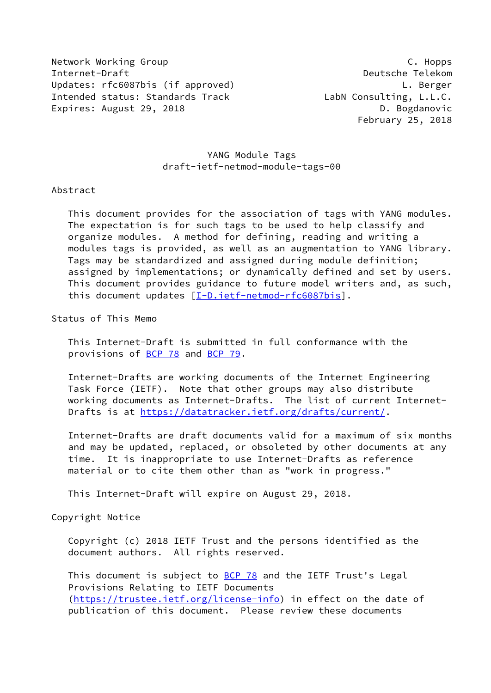Network Working Group **C. Hopps** C. Hopps Internet-Draft Deutsche Telekom Updates: rfc6087bis (if approved) L. Berger Intended status: Standards Track LabN Consulting, L.L.C. Expires: August 29, 2018 **D. Bogdanovic** 

February 25, 2018

## YANG Module Tags draft-ietf-netmod-module-tags-00

#### Abstract

 This document provides for the association of tags with YANG modules. The expectation is for such tags to be used to help classify and organize modules. A method for defining, reading and writing a modules tags is provided, as well as an augmentation to YANG library. Tags may be standardized and assigned during module definition; assigned by implementations; or dynamically defined and set by users. This document provides guidance to future model writers and, as such, this document updates [[I-D.ietf-netmod-rfc6087bis\]](#page-12-0).

Status of This Memo

 This Internet-Draft is submitted in full conformance with the provisions of [BCP 78](https://datatracker.ietf.org/doc/pdf/bcp78) and [BCP 79](https://datatracker.ietf.org/doc/pdf/bcp79).

 Internet-Drafts are working documents of the Internet Engineering Task Force (IETF). Note that other groups may also distribute working documents as Internet-Drafts. The list of current Internet- Drafts is at<https://datatracker.ietf.org/drafts/current/>.

 Internet-Drafts are draft documents valid for a maximum of six months and may be updated, replaced, or obsoleted by other documents at any time. It is inappropriate to use Internet-Drafts as reference material or to cite them other than as "work in progress."

This Internet-Draft will expire on August 29, 2018.

Copyright Notice

 Copyright (c) 2018 IETF Trust and the persons identified as the document authors. All rights reserved.

This document is subject to **[BCP 78](https://datatracker.ietf.org/doc/pdf/bcp78)** and the IETF Trust's Legal Provisions Relating to IETF Documents [\(https://trustee.ietf.org/license-info](https://trustee.ietf.org/license-info)) in effect on the date of publication of this document. Please review these documents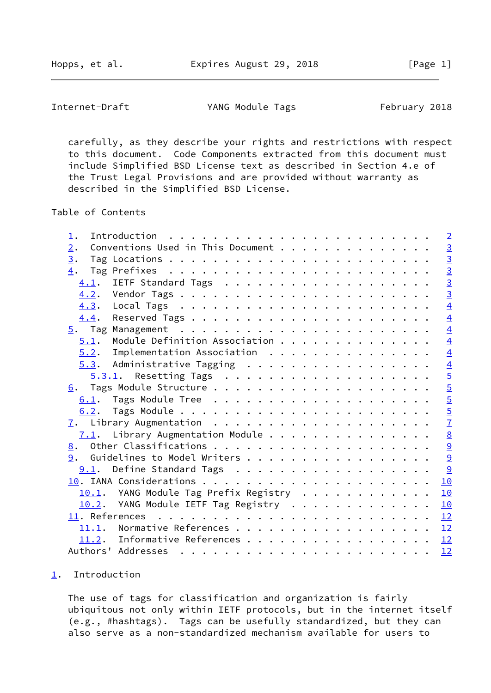Hopps, et al. **Expires August 29, 2018** [Page 1]

<span id="page-1-1"></span>Internet-Draft TANG Module Tags Tebruary 2018

 carefully, as they describe your rights and restrictions with respect to this document. Code Components extracted from this document must include Simplified BSD License text as described in Section 4.e of the Trust Legal Provisions and are provided without warranty as described in the Simplified BSD License.

Table of Contents

| 1.                                                                                                                                                                                                                                                                                                                                                                                                                                                             | $\overline{2}$  |
|----------------------------------------------------------------------------------------------------------------------------------------------------------------------------------------------------------------------------------------------------------------------------------------------------------------------------------------------------------------------------------------------------------------------------------------------------------------|-----------------|
| Conventions Used in This Document<br>2.                                                                                                                                                                                                                                                                                                                                                                                                                        | $\overline{3}$  |
| 3.                                                                                                                                                                                                                                                                                                                                                                                                                                                             |                 |
| 4.                                                                                                                                                                                                                                                                                                                                                                                                                                                             | $\frac{3}{3}$   |
| 4.1.                                                                                                                                                                                                                                                                                                                                                                                                                                                           | $\overline{3}$  |
|                                                                                                                                                                                                                                                                                                                                                                                                                                                                | $\overline{3}$  |
| 4.3.                                                                                                                                                                                                                                                                                                                                                                                                                                                           | $\overline{4}$  |
| 4.4.                                                                                                                                                                                                                                                                                                                                                                                                                                                           | $\overline{4}$  |
|                                                                                                                                                                                                                                                                                                                                                                                                                                                                | $\overline{4}$  |
| Module Definition Association<br>5.1.                                                                                                                                                                                                                                                                                                                                                                                                                          | $\overline{4}$  |
| Implementation Association<br>5.2.                                                                                                                                                                                                                                                                                                                                                                                                                             | $\overline{4}$  |
| $5.3$ . Administrative Tagging                                                                                                                                                                                                                                                                                                                                                                                                                                 | $\overline{4}$  |
| $5.3.1$ . Resetting Tags                                                                                                                                                                                                                                                                                                                                                                                                                                       | $\overline{5}$  |
|                                                                                                                                                                                                                                                                                                                                                                                                                                                                | $\overline{5}$  |
| 6.1.                                                                                                                                                                                                                                                                                                                                                                                                                                                           | $\overline{5}$  |
|                                                                                                                                                                                                                                                                                                                                                                                                                                                                | $rac{5}{7}$     |
|                                                                                                                                                                                                                                                                                                                                                                                                                                                                |                 |
| $7.1$ . Library Augmentation Module                                                                                                                                                                                                                                                                                                                                                                                                                            | $\underline{8}$ |
|                                                                                                                                                                                                                                                                                                                                                                                                                                                                | $\overline{a}$  |
| 9. Guidelines to Model Writers                                                                                                                                                                                                                                                                                                                                                                                                                                 | 9               |
| 9.1. Define Standard Tags                                                                                                                                                                                                                                                                                                                                                                                                                                      | 9               |
|                                                                                                                                                                                                                                                                                                                                                                                                                                                                | 10              |
| 10.1. YANG Module Tag Prefix Registry                                                                                                                                                                                                                                                                                                                                                                                                                          | 10              |
| 10.2. YANG Module IETF Tag Registry                                                                                                                                                                                                                                                                                                                                                                                                                            | 10              |
|                                                                                                                                                                                                                                                                                                                                                                                                                                                                | 12              |
| 11.1. Normative References                                                                                                                                                                                                                                                                                                                                                                                                                                     | 12              |
| 11.2. Informative References                                                                                                                                                                                                                                                                                                                                                                                                                                   | 12              |
| Authors' Addresses<br>$\mathbf{r}^{(i)} \cdot \mathbf{r}^{(i)} \cdot \mathbf{r}^{(i)} \cdot \mathbf{r}^{(i)} \cdot \mathbf{r}^{(i)} \cdot \mathbf{r}^{(i)} \cdot \mathbf{r}^{(i)} \cdot \mathbf{r}^{(i)} \cdot \mathbf{r}^{(i)} \cdot \mathbf{r}^{(i)} \cdot \mathbf{r}^{(i)} \cdot \mathbf{r}^{(i)} \cdot \mathbf{r}^{(i)} \cdot \mathbf{r}^{(i)} \cdot \mathbf{r}^{(i)} \cdot \mathbf{r}^{(i)} \cdot \mathbf{r}^{(i)} \cdot \mathbf{r}^{(i)} \cdot \mathbf{$ | 12              |
|                                                                                                                                                                                                                                                                                                                                                                                                                                                                |                 |

### <span id="page-1-0"></span>[1](#page-1-0). Introduction

 The use of tags for classification and organization is fairly ubiquitous not only within IETF protocols, but in the internet itself (e.g., #hashtags). Tags can be usefully standardized, but they can also serve as a non-standardized mechanism available for users to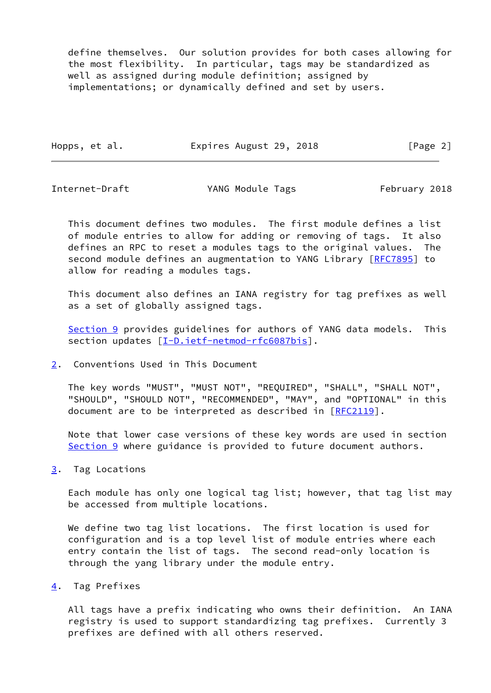define themselves. Our solution provides for both cases allowing for the most flexibility. In particular, tags may be standardized as well as assigned during module definition; assigned by implementations; or dynamically defined and set by users.

Hopps, et al. **Expires August 29, 2018** [Page 2]

<span id="page-2-1"></span>Internet-Draft TANG Module Tags February 2018

 This document defines two modules. The first module defines a list of module entries to allow for adding or removing of tags. It also defines an RPC to reset a modules tags to the original values. The second module defines an augmentation to YANG Library [[RFC7895](https://datatracker.ietf.org/doc/pdf/rfc7895)] to allow for reading a modules tags.

 This document also defines an IANA registry for tag prefixes as well as a set of globally assigned tags.

[Section 9](#page-9-2) provides guidelines for authors of YANG data models. This section updates [\[I-D.ietf-netmod-rfc6087bis\]](#page-12-0).

<span id="page-2-0"></span>[2](#page-2-0). Conventions Used in This Document

 The key words "MUST", "MUST NOT", "REQUIRED", "SHALL", "SHALL NOT", "SHOULD", "SHOULD NOT", "RECOMMENDED", "MAY", and "OPTIONAL" in this document are to be interpreted as described in [\[RFC2119](https://datatracker.ietf.org/doc/pdf/rfc2119)].

 Note that lower case versions of these key words are used in section [Section 9](#page-9-2) where guidance is provided to future document authors.

<span id="page-2-2"></span>[3](#page-2-2). Tag Locations

 Each module has only one logical tag list; however, that tag list may be accessed from multiple locations.

 We define two tag list locations. The first location is used for configuration and is a top level list of module entries where each entry contain the list of tags. The second read-only location is through the yang library under the module entry.

<span id="page-2-3"></span>[4](#page-2-3). Tag Prefixes

 All tags have a prefix indicating who owns their definition. An IANA registry is used to support standardizing tag prefixes. Currently 3 prefixes are defined with all others reserved.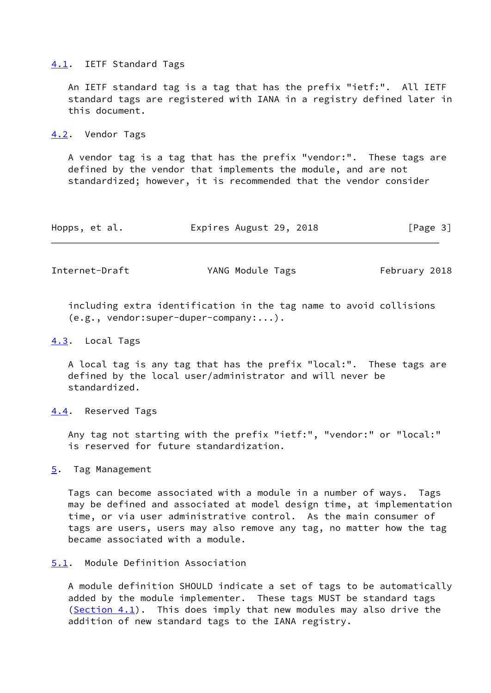#### <span id="page-3-0"></span>[4.1](#page-3-0). IETF Standard Tags

 An IETF standard tag is a tag that has the prefix "ietf:". All IETF standard tags are registered with IANA in a registry defined later in this document.

#### <span id="page-3-1"></span>[4.2](#page-3-1). Vendor Tags

 A vendor tag is a tag that has the prefix "vendor:". These tags are defined by the vendor that implements the module, and are not standardized; however, it is recommended that the vendor consider

|  | Hopps, et al. | Expires August 29, 2018 |  |  |  | [Page 3] |  |  |
|--|---------------|-------------------------|--|--|--|----------|--|--|
|--|---------------|-------------------------|--|--|--|----------|--|--|

<span id="page-3-3"></span>Internet-Draft YANG Module Tags February 2018

 including extra identification in the tag name to avoid collisions (e.g., vendor:super-duper-company:...).

#### <span id="page-3-2"></span>[4.3](#page-3-2). Local Tags

 A local tag is any tag that has the prefix "local:". These tags are defined by the local user/administrator and will never be standardized.

<span id="page-3-4"></span>[4.4](#page-3-4). Reserved Tags

 Any tag not starting with the prefix "ietf:", "vendor:" or "local:" is reserved for future standardization.

<span id="page-3-5"></span>[5](#page-3-5). Tag Management

 Tags can become associated with a module in a number of ways. Tags may be defined and associated at model design time, at implementation time, or via user administrative control. As the main consumer of tags are users, users may also remove any tag, no matter how the tag became associated with a module.

## <span id="page-3-6"></span>[5.1](#page-3-6). Module Definition Association

 A module definition SHOULD indicate a set of tags to be automatically added by the module implementer. These tags MUST be standard tags [\(Section 4.1](#page-3-0)). This does imply that new modules may also drive the addition of new standard tags to the IANA registry.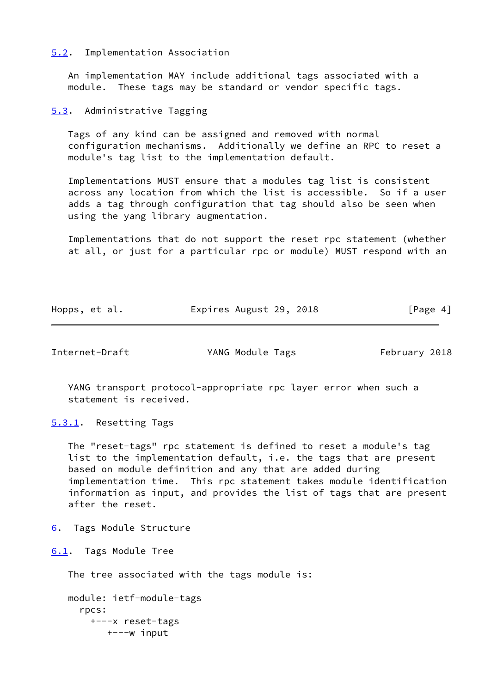#### <span id="page-4-0"></span>[5.2](#page-4-0). Implementation Association

 An implementation MAY include additional tags associated with a module. These tags may be standard or vendor specific tags.

<span id="page-4-1"></span>[5.3](#page-4-1). Administrative Tagging

 Tags of any kind can be assigned and removed with normal configuration mechanisms. Additionally we define an RPC to reset a module's tag list to the implementation default.

 Implementations MUST ensure that a modules tag list is consistent across any location from which the list is accessible. So if a user adds a tag through configuration that tag should also be seen when using the yang library augmentation.

 Implementations that do not support the reset rpc statement (whether at all, or just for a particular rpc or module) MUST respond with an

| Hopps, et al. | Expires August 29, 2018 | [Page 4] |  |
|---------------|-------------------------|----------|--|
|               |                         |          |  |

<span id="page-4-3"></span>Internet-Draft TANG Module Tags Tebruary 2018

 YANG transport protocol-appropriate rpc layer error when such a statement is received.

<span id="page-4-2"></span>[5.3.1](#page-4-2). Resetting Tags

 The "reset-tags" rpc statement is defined to reset a module's tag list to the implementation default, i.e. the tags that are present based on module definition and any that are added during implementation time. This rpc statement takes module identification information as input, and provides the list of tags that are present after the reset.

<span id="page-4-4"></span>[6](#page-4-4). Tags Module Structure

<span id="page-4-5"></span>[6.1](#page-4-5). Tags Module Tree

The tree associated with the tags module is:

 module: ietf-module-tags rpcs: +---x reset-tags +---w input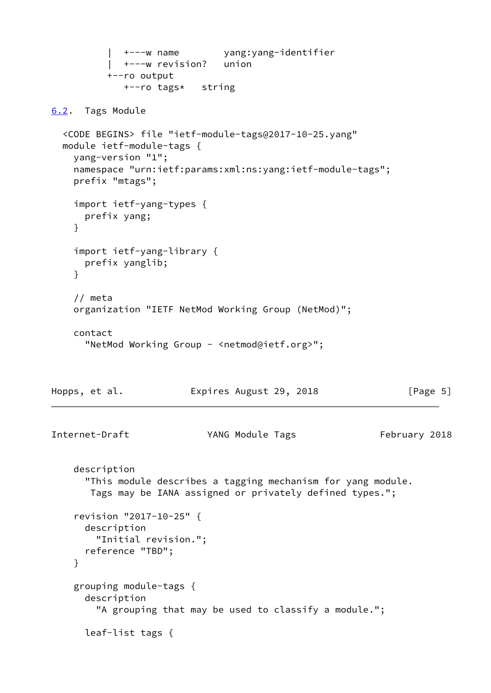```
 | +---w name yang:yang-identifier
             | +---w revision? union
           +--ro output
             +--ro tags* string
6.2. Tags Module
  <CODE BEGINS> file "ietf-module-tags@2017-10-25.yang"
  module ietf-module-tags {
    yang-version "1";
    namespace "urn:ietf:params:xml:ns:yang:ietf-module-tags";
    prefix "mtags";
    import ietf-yang-types {
      prefix yang;
     }
     import ietf-yang-library {
      prefix yanglib;
     }
     // meta
    organization "IETF NetMod Working Group (NetMod)";
    contact
       "NetMod Working Group - <netmod@ietf.org>";
Hopps, et al. Expires August 29, 2018 [Page 5]
Internet-Draft YANG Module Tags February 2018
    description
       "This module describes a tagging mechanism for yang module.
       Tags may be IANA assigned or privately defined types.";
     revision "2017-10-25" {
      description
         "Initial revision.";
      reference "TBD";
     }
     grouping module-tags {
      description
         "A grouping that may be used to classify a module.";
      leaf-list tags {
```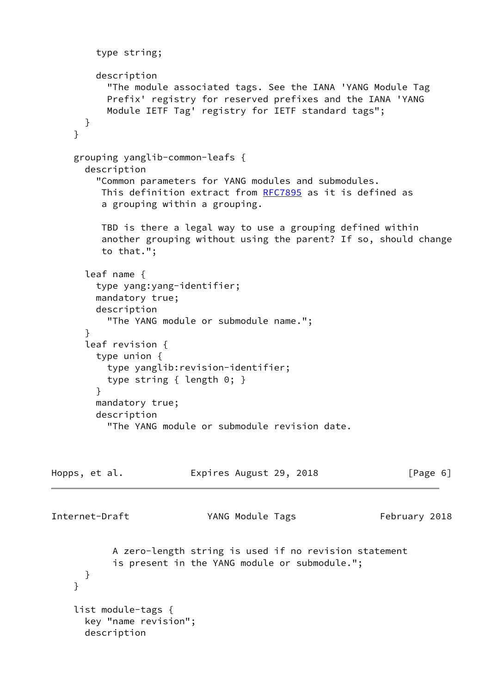```
 type string;
         description
           "The module associated tags. See the IANA 'YANG Module Tag
           Prefix' registry for reserved prefixes and the IANA 'YANG
           Module IETF Tag' registry for IETF standard tags";
      }
     }
     grouping yanglib-common-leafs {
       description
         "Common parameters for YANG modules and submodules.
          This definition extract from RFC7895 as it is defined as
          a grouping within a grouping.
         TBD is there a legal way to use a grouping defined within
          another grouping without using the parent? If so, should change
          to that.";
       leaf name {
         type yang:yang-identifier;
         mandatory true;
         description
           "The YANG module or submodule name.";
       }
       leaf revision {
        type union {
          type yanglib:revision-identifier;
           type string { length 0; }
         }
        mandatory true;
        description
           "The YANG module or submodule revision date.
Hopps, et al. Expires August 29, 2018 [Page 6]
Internet-Draft YANG Module Tags February 2018
           A zero-length string is used if no revision statement
            is present in the YANG module or submodule.";
       }
     }
     list module-tags {
       key "name revision";
       description
```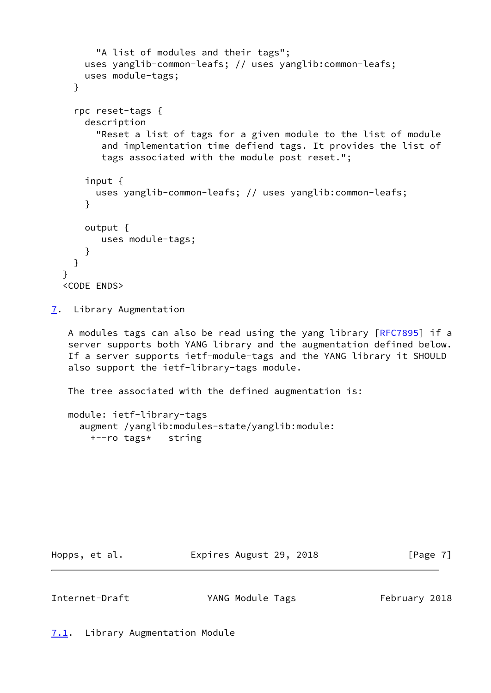```
 "A list of modules and their tags";
     uses yanglib-common-leafs; // uses yanglib:common-leafs;
     uses module-tags;
   }
   rpc reset-tags {
     description
       "Reset a list of tags for a given module to the list of module
        and implementation time defiend tags. It provides the list of
        tags associated with the module post reset.";
     input {
       uses yanglib-common-leafs; // uses yanglib:common-leafs;
     }
     output {
        uses module-tags;
     }
   }
 }
 <CODE ENDS>
```
<span id="page-7-0"></span>[7](#page-7-0). Library Augmentation

 A modules tags can also be read using the yang library [\[RFC7895](https://datatracker.ietf.org/doc/pdf/rfc7895)] if a server supports both YANG library and the augmentation defined below. If a server supports ietf-module-tags and the YANG library it SHOULD also support the ietf-library-tags module.

The tree associated with the defined augmentation is:

```
 module: ietf-library-tags
   augment /yanglib:modules-state/yanglib:module:
     +--ro tags* string
```
Hopps, et al. **Expires August 29, 2018** [Page 7]

<span id="page-7-1"></span>

<span id="page-7-2"></span>Internet-Draft TANG Module Tags Tebruary 2018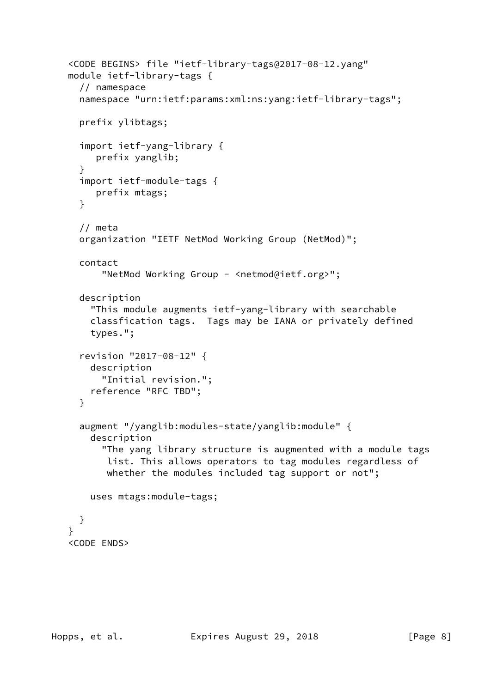```
 <CODE BEGINS> file "ietf-library-tags@2017-08-12.yang"
 module ietf-library-tags {
   // namespace
   namespace "urn:ietf:params:xml:ns:yang:ietf-library-tags";
   prefix ylibtags;
   import ietf-yang-library {
      prefix yanglib;
   }
   import ietf-module-tags {
     prefix mtags;
   }
   // meta
   organization "IETF NetMod Working Group (NetMod)";
   contact
       "NetMod Working Group - <netmod@ietf.org>";
   description
     "This module augments ietf-yang-library with searchable
     classfication tags. Tags may be IANA or privately defined
     types.";
   revision "2017-08-12" {
     description
       "Initial revision.";
     reference "RFC TBD";
   }
   augment "/yanglib:modules-state/yanglib:module" {
     description
       "The yang library structure is augmented with a module tags
        list. This allows operators to tag modules regardless of
       whether the modules included tag support or not";
     uses mtags:module-tags;
   }
 }
 <CODE ENDS>
```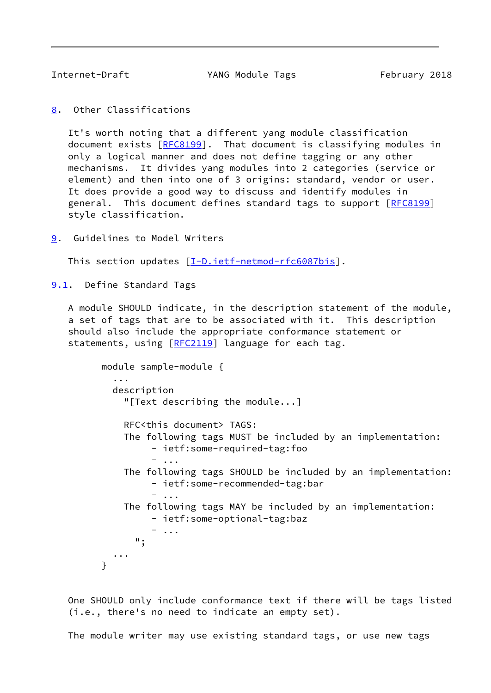<span id="page-9-1"></span>

Internet-Draft TANG Module Tags Tebruary 2018

<span id="page-9-0"></span>[8](#page-9-0). Other Classifications

 It's worth noting that a different yang module classification document exists [\[RFC8199](https://datatracker.ietf.org/doc/pdf/rfc8199)]. That document is classifying modules in only a logical manner and does not define tagging or any other mechanisms. It divides yang modules into 2 categories (service or element) and then into one of 3 origins: standard, vendor or user. It does provide a good way to discuss and identify modules in general. This document defines standard tags to support [\[RFC8199](https://datatracker.ietf.org/doc/pdf/rfc8199)] style classification.

<span id="page-9-2"></span>[9](#page-9-2). Guidelines to Model Writers

This section updates [\[I-D.ietf-netmod-rfc6087bis\]](#page-12-0).

<span id="page-9-3"></span>[9.1](#page-9-3). Define Standard Tags

 A module SHOULD indicate, in the description statement of the module, a set of tags that are to be associated with it. This description should also include the appropriate conformance statement or statements, using [[RFC2119](https://datatracker.ietf.org/doc/pdf/rfc2119)] language for each tag.

```
 module sample-module {
            ...
            description
              "[Text describing the module...]
              RFC<this document> TAGS:
              The following tags MUST be included by an implementation:
                    - ietf:some-required-tag:foo
                   - ...
              The following tags SHOULD be included by an implementation:
                   - ietf:some-recommended-tag:bar
                   - ...
              The following tags MAY be included by an implementation:
                   - ietf:some-optional-tag:baz
                    - ...
                ";
            ...
 }
```
 One SHOULD only include conformance text if there will be tags listed (i.e., there's no need to indicate an empty set).

The module writer may use existing standard tags, or use new tags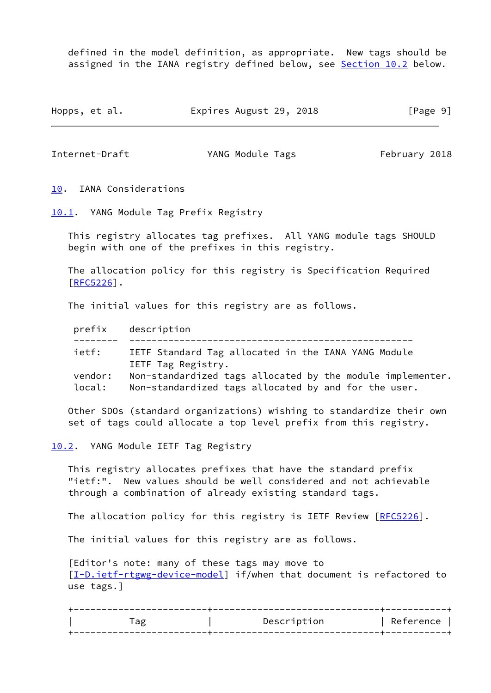defined in the model definition, as appropriate. New tags should be assigned in the IANA registry defined below, see [Section 10.2](#page-10-3) below.

Hopps, et al. **Expires August 29, 2018** [Page 9]

<span id="page-10-1"></span>Internet-Draft TANG Module Tags February 2018

<span id="page-10-0"></span>[10.](#page-10-0) IANA Considerations

<span id="page-10-2"></span>[10.1](#page-10-2). YANG Module Tag Prefix Registry

 This registry allocates tag prefixes. All YANG module tags SHOULD begin with one of the prefixes in this registry.

 The allocation policy for this registry is Specification Required [\[RFC5226](https://datatracker.ietf.org/doc/pdf/rfc5226)].

The initial values for this registry are as follows.

|         | prefix description                                                        |
|---------|---------------------------------------------------------------------------|
| ietf:   | IETF Standard Tag allocated in the IANA YANG Module<br>IETF Tag Registry. |
| vendor: | Non-standardized tags allocated by the module implementer.                |
| local:  | Non-standardized tags allocated by and for the user.                      |

 Other SDOs (standard organizations) wishing to standardize their own set of tags could allocate a top level prefix from this registry.

<span id="page-10-3"></span>[10.2](#page-10-3). YANG Module IETF Tag Registry

 This registry allocates prefixes that have the standard prefix "ietf:". New values should be well considered and not achievable through a combination of already existing standard tags.

The allocation policy for this registry is IETF Review [\[RFC5226](https://datatracker.ietf.org/doc/pdf/rfc5226)].

The initial values for this registry are as follows.

 [Editor's note: many of these tags may move to [\[I-D.ietf-rtgwg-device-model](#page-13-1)] if/when that document is refactored to use tags.]

|  | Description | Reference |
|--|-------------|-----------|
|  |             |           |
|  |             |           |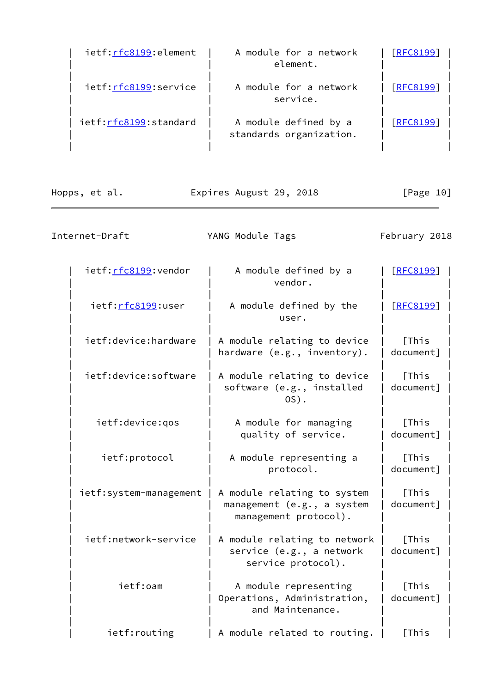| ietf:rfc8199:element  | A module for a network<br>element.               | <u>[RFC8199]</u> |
|-----------------------|--------------------------------------------------|------------------|
| ietf:rfc8199:service  | A module for a network<br>service.               | [REC8199]        |
| ietf:rfc8199:standard | A module defined by a<br>standards organization. | [RFC8199]        |

| Hopps, et al. | Expires August 29, 2018 | [Page 10] |
|---------------|-------------------------|-----------|
|               |                         |           |

| Internet-Draft          | YANG Module Tags                                                                   | February 2018       |
|-------------------------|------------------------------------------------------------------------------------|---------------------|
| ietf: rfc8199: vendor   | A module defined by a<br>vendor.                                                   | [REC8199]           |
| ietf:rfc8199:user       | A module defined by the<br>user.                                                   | [RFC8199]           |
| ietf:device:hardware    | A module relating to device<br>hardware (e.g., inventory).                         | [This]<br>document] |
| ietf:device:software    | A module relating to device<br>software (e.g., installed<br>$OS$ .                 | [This<br>document]  |
| ietf:device:gos         | A module for managing<br>quality of service.                                       | [This]<br>document] |
| ietf:protocol           | A module representing a<br>protocol.                                               | [This]<br>document] |
| ietf: system-management | A module relating to system<br>management (e.g., a system<br>management protocol). | [This<br>document]  |
| ietf:network-service    | A module relating to network<br>service (e.g., a network<br>service protocol).     | [This<br>document]  |
| ietf:oam                | A module representing<br>Operations, Administration,<br>and Maintenance.           | [This<br>document]  |
| ietf: routing           | A module related to routing.                                                       | [This]              |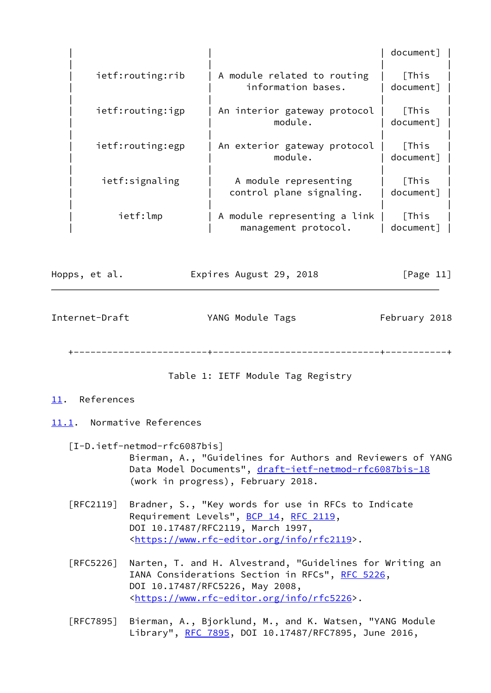|               |                  |                                                      | document]          |
|---------------|------------------|------------------------------------------------------|--------------------|
|               | ietf:routing:rib | A module related to routing<br>information bases.    | [This<br>document] |
|               | ietf:routing:igp | An interior gateway protocol<br>module.              | [This<br>document] |
|               | ietf:routing:egp | An exterior gateway protocol<br>module.              | [This<br>document] |
|               | ietf:signaling   | A module representing<br>control plane signaling.    | [This<br>document] |
|               | ietf:lmp         | A module representing a link<br>management protocol. | [This<br>document] |
| Hopps, et al. |                  | Expires August 29, 2018                              | [Page $11$ ]       |

<span id="page-12-2"></span>Internet-Draft TANG Module Tags February 2018

+------------------------+------------------------------+-----------+

Table 1: IETF Module Tag Registry

# <span id="page-12-1"></span>[11.](#page-12-1) References

# <span id="page-12-3"></span>[11.1](#page-12-3). Normative References

- <span id="page-12-0"></span> [I-D.ietf-netmod-rfc6087bis] Bierman, A., "Guidelines for Authors and Reviewers of YANG Data Model Documents", [draft-ietf-netmod-rfc6087bis-18](https://datatracker.ietf.org/doc/pdf/draft-ietf-netmod-rfc6087bis-18) (work in progress), February 2018.
- [RFC2119] Bradner, S., "Key words for use in RFCs to Indicate Requirement Levels", [BCP 14](https://datatracker.ietf.org/doc/pdf/bcp14), [RFC 2119](https://datatracker.ietf.org/doc/pdf/rfc2119), DOI 10.17487/RFC2119, March 1997, <[https://www.rfc-editor.org/info/rfc2119>](https://www.rfc-editor.org/info/rfc2119).
- [RFC5226] Narten, T. and H. Alvestrand, "Guidelines for Writing an IANA Considerations Section in RFCs", [RFC 5226](https://datatracker.ietf.org/doc/pdf/rfc5226), DOI 10.17487/RFC5226, May 2008, <[https://www.rfc-editor.org/info/rfc5226>](https://www.rfc-editor.org/info/rfc5226).
- [RFC7895] Bierman, A., Bjorklund, M., and K. Watsen, "YANG Module Library", [RFC 7895](https://datatracker.ietf.org/doc/pdf/rfc7895), DOI 10.17487/RFC7895, June 2016,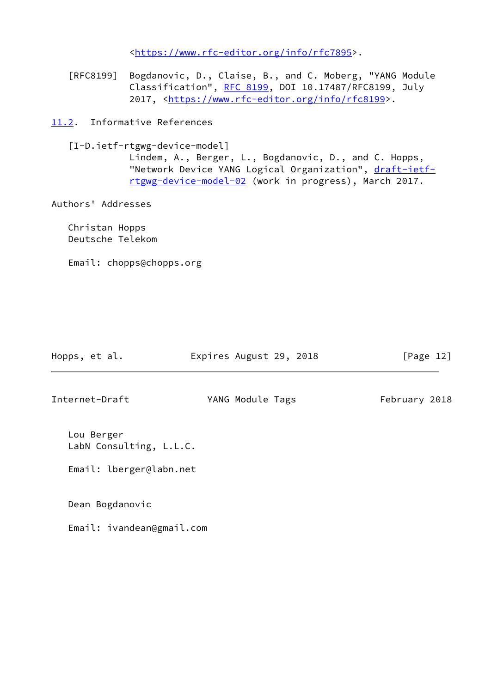<[https://www.rfc-editor.org/info/rfc7895>](https://www.rfc-editor.org/info/rfc7895).

- [RFC8199] Bogdanovic, D., Claise, B., and C. Moberg, "YANG Module Classification", [RFC 8199,](https://datatracker.ietf.org/doc/pdf/rfc8199) DOI 10.17487/RFC8199, July 2017, [<https://www.rfc-editor.org/info/rfc8199](https://www.rfc-editor.org/info/rfc8199)>.
- <span id="page-13-1"></span><span id="page-13-0"></span>[11.2](#page-13-0). Informative References
	- [I-D.ietf-rtgwg-device-model]

 Lindem, A., Berger, L., Bogdanovic, D., and C. Hopps, "Network Device YANG Logical Organization", [draft-ietf](https://datatracker.ietf.org/doc/pdf/draft-ietf-rtgwg-device-model-02) [rtgwg-device-model-02](https://datatracker.ietf.org/doc/pdf/draft-ietf-rtgwg-device-model-02) (work in progress), March 2017.

Authors' Addresses

 Christan Hopps Deutsche Telekom

Email: chopps@chopps.org

| Hopps, et al.                         | Expires August 29, 2018 | [Page 12]     |
|---------------------------------------|-------------------------|---------------|
| Internet-Draft                        | YANG Module Tags        | February 2018 |
| Lou Berger<br>LabN Consulting, L.L.C. |                         |               |

Email: lberger@labn.net

Dean Bogdanovic

Email: ivandean@gmail.com